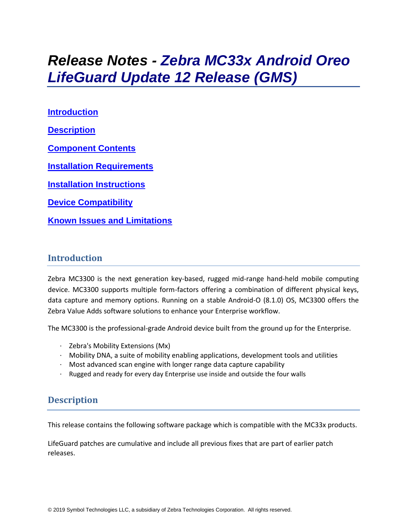# *Release Notes - Zebra MC33x Android Oreo LifeGuard Update 12 Release (GMS)*

**[Introduction](#page-0-0) [Description](#page-0-1) [Component Contents](#page-1-0) [Installation Requirements](#page-3-0) [Installation Instructions](#page-3-1) [Device Compatibility](#page-4-0) Known [Issues and Limitations](#page-7-0)**

#### <span id="page-0-0"></span>**Introduction**

Zebra MC3300 is the next generation key-based, rugged mid-range hand-held mobile computing device. MC3300 supports multiple form-factors offering a combination of different physical keys, data capture and memory options. Running on a stable Android-O (8.1.0) OS, MC3300 offers the Zebra Value Adds software solutions to enhance your Enterprise workflow.

The MC3300 is the professional-grade Android device built from the ground up for the Enterprise.

- · Zebra's Mobility Extensions (Mx)
- $\cdot$  Mobility DNA, a suite of mobility enabling applications, development tools and utilities
- · Most advanced scan engine with longer range data capture capability
- <span id="page-0-1"></span>· Rugged and ready for every day Enterprise use inside and outside the four walls

### **Description**

This release contains the following software package which is compatible with the MC33x products.

LifeGuard patches are cumulative and include all previous fixes that are part of earlier patch releases.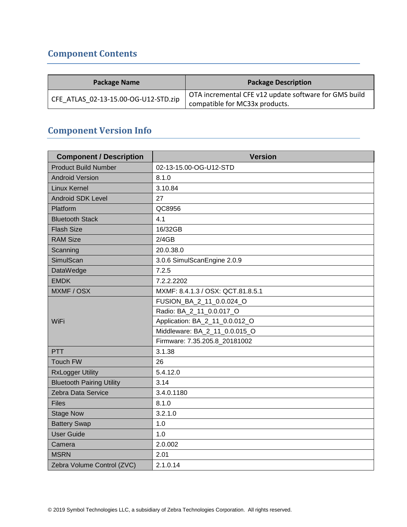# <span id="page-1-0"></span>**Component Contents**

| <b>Package Name</b>                  | <b>Package Description</b>                                                              |
|--------------------------------------|-----------------------------------------------------------------------------------------|
| CFE ATLAS 02-13-15.00-OG-U12-STD.zip | OTA incremental CFE v12 update software for GMS build<br>compatible for MC33x products. |

## **Component Version Info**

| <b>Component / Description</b>   | <b>Version</b>                    |  |  |
|----------------------------------|-----------------------------------|--|--|
| <b>Product Build Number</b>      | 02-13-15.00-OG-U12-STD            |  |  |
| <b>Android Version</b>           | 8.1.0                             |  |  |
| <b>Linux Kernel</b>              | 3.10.84                           |  |  |
| <b>Android SDK Level</b>         | 27                                |  |  |
| Platform                         | QC8956                            |  |  |
| <b>Bluetooth Stack</b>           | 4.1                               |  |  |
| <b>Flash Size</b>                | 16/32GB                           |  |  |
| <b>RAM Size</b>                  | 2/4GB                             |  |  |
| Scanning                         | 20.0.38.0                         |  |  |
| SimulScan                        | 3.0.6 SimulScanEngine 2.0.9       |  |  |
| DataWedge                        | 7.2.5                             |  |  |
| <b>EMDK</b>                      | 7.2.2.2202                        |  |  |
| MXMF / OSX                       | MXMF: 8.4.1.3 / OSX: QCT.81.8.5.1 |  |  |
|                                  | FUSION_BA_2_11_0.0.024_O          |  |  |
|                                  | Radio: BA_2_11_0.0.017_O          |  |  |
| WiFi                             | Application: BA_2_11_0.0.012_O    |  |  |
|                                  | Middleware: BA_2_11_0.0.015_O     |  |  |
|                                  | Firmware: 7.35.205.8_20181002     |  |  |
| PTT                              | 3.1.38                            |  |  |
| <b>Touch FW</b>                  | 26                                |  |  |
| <b>RxLogger Utility</b>          | 5.4.12.0                          |  |  |
| <b>Bluetooth Pairing Utility</b> | 3.14                              |  |  |
| Zebra Data Service               | 3.4.0.1180                        |  |  |
| <b>Files</b>                     | 8.1.0                             |  |  |
| <b>Stage Now</b>                 | 3.2.1.0                           |  |  |
| <b>Battery Swap</b>              | 1.0                               |  |  |
| <b>User Guide</b>                | 1.0                               |  |  |
| Camera                           | 2.0.002                           |  |  |
| <b>MSRN</b>                      | 2.01                              |  |  |
| Zebra Volume Control (ZVC)       | 2.1.0.14                          |  |  |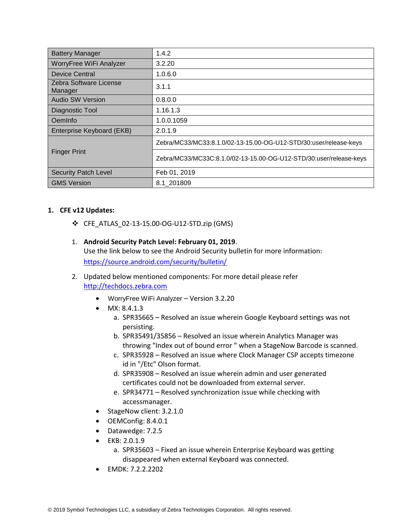| <b>Battery Manager</b>            | 1.4.2                                                              |
|-----------------------------------|--------------------------------------------------------------------|
| WorryFree WiFi Analyzer           | 3.2.20                                                             |
| <b>Device Central</b>             | 1.0.6.0                                                            |
| Zebra Software License<br>Manager | 3.1.1                                                              |
| <b>Audio SW Version</b>           | 0.8.0.0                                                            |
| Diagnostic Tool                   | 1.16.1.3                                                           |
| OemInfo                           | 1.0.0.1059                                                         |
| Enterprise Keyboard (EKB)         | 2.0.1.9                                                            |
|                                   | Zebra/MC33/MC33:8.1.0/02-13-15.00-OG-U12-STD/30:user/release-keys  |
| <b>Finger Print</b>               | Zebra/MC33/MC33C:8.1.0/02-13-15.00-OG-U12-STD/30:user/release-keys |
| <b>Security Patch Level</b>       | Feb 01, 2019                                                       |
| <b>GMS Version</b>                | 8.1 201809                                                         |

#### **1. CFE v12 Updates:**

- ❖ CFE\_ATLAS\_02-13-15.00-OG-U12-STD.zip (GMS)
- 1. **Android Security Patch Level: February 01, 2019**. Use the link below to see the Android Security bulletin for more information: <https://source.android.com/security/bulletin/>
- 2. Updated below mentioned components: For more detail please refer [http://techdocs.zebra.com](http://techdocs.zebra.com/)
	- WorryFree WiFi Analyzer Version 3.2.20
	- MX: 8.4.1.3
		- a. SPR35665 Resolved an issue wherein Google Keyboard settings was not persisting.
		- b. SPR35491/35856 Resolved an issue wherein Analytics Manager was throwing "Index out of bound error " when a StageNow Barcode is scanned.
		- c. SPR35928 Resolved an issue where Clock Manager CSP accepts timezone id in "/Etc" Olson format.
		- d. SPR35908 Resolved an issue wherein admin and user generated certificates could not be downloaded from external server.
		- e. SPR34771 Resolved synchronization issue while checking with accessmanager.
	- StageNow client: 3.2.1.0
	- OEMConfig: 8.4.0.1
	- Datawedge: 7.2.5
	- EKB: 2.0.1.9
		- a. SPR35603 Fixed an issue wherein Enterprise Keyboard was getting disappeared when external Keyboard was connected.
	- EMDK: 7.2.2.2202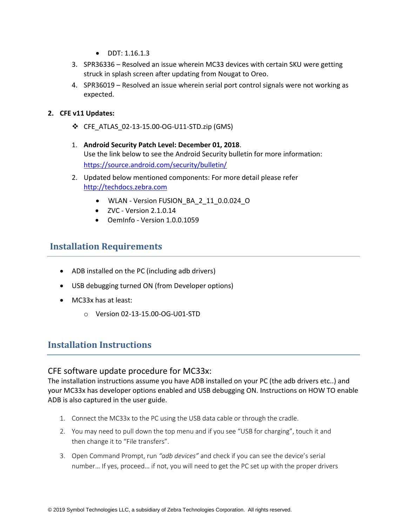- $\bullet$  DDT: 1.16.1.3
- 3. SPR36336 Resolved an issue wherein MC33 devices with certain SKU were getting struck in splash screen after updating from Nougat to Oreo.
- 4. SPR36019 Resolved an issue wherein serial port control signals were not working as expected.
- **2. CFE v11 Updates:**
	- ❖ CFE\_ATLAS\_02-13-15.00-OG-U11-STD.zip (GMS)
	- 1. **Android Security Patch Level: December 01, 2018**. Use the link below to see the Android Security bulletin for more information: <https://source.android.com/security/bulletin/>
	- 2. Updated below mentioned components: For more detail please refer [http://techdocs.zebra.com](http://techdocs.zebra.com/)
		- WLAN Version FUSION\_BA\_2\_11\_0.0.024\_O
		- ZVC Version 2.1.0.14
		- OemInfo Version 1.0.0.1059

## <span id="page-3-0"></span>**Installation Requirements**

- ADB installed on the PC (including adb drivers)
- USB debugging turned ON (from Developer options)
- MC33x has at least:
	- o Version 02-13-15.00-OG-U01-STD

### <span id="page-3-1"></span>**Installation Instructions**

#### CFE software update procedure for MC33x:

The installation instructions assume you have ADB installed on your PC (the adb drivers etc..) and your MC33x has developer options enabled and USB debugging ON. Instructions on HOW TO enable ADB is also captured in the user guide.

- 1. Connect the MC33x to the PC using the USB data cable or through the cradle.
- 2. You may need to pull down the top menu and if you see "USB for charging", touch it and then change it to "File transfers".
- 3. Open Command Prompt, run *"adb devices"* and check if you can see the device's serial number… If yes, proceed… if not, you will need to get the PC set up with the proper drivers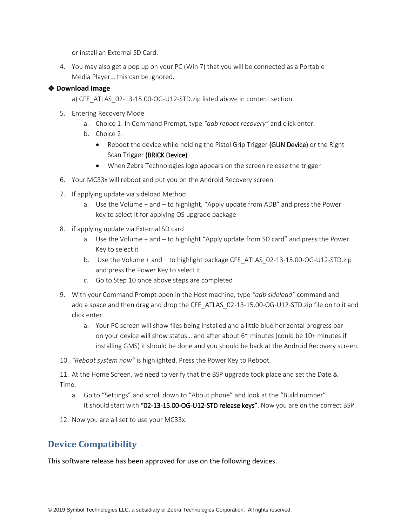or install an External SD Card.

4. You may also get a pop up on your PC (Win 7) that you will be connected as a Portable Media Player… this can be ignored.

#### ❖ **Download Image**

a) CFE\_ATLAS\_02-13-15.00-OG-U12-STD.zip listed above in content section

- 5. Entering Recovery Mode
	- a. Choice 1: In Command Prompt, type *"adb reboot recovery"* and click enter.
	- b. Choice 2:
		- Reboot the device while holding the Pistol Grip Trigger (GUN Device) or the Right Scan Trigger (BRICK Device)
		- When Zebra Technologies logo appears on the screen release the trigger
- 6. Your MC33x will reboot and put you on the Android Recovery screen.
- 7. If applying update via sideload Method
	- a. Use the Volume + and to highlight, "Apply update from ADB" and press the Power key to select it for applying OS upgrade package
- 8. if applying update via External SD card
	- a. Use the Volume + and to highlight "Apply update from SD card" and press the Power Key to select it
	- b. Use the Volume + and to highlight package CFE\_ATLAS\_02-13-15.00-OG-U12-STD.zip and press the Power Key to select it.
	- c. Go to Step 10 once above steps are completed
- 9. With your Command Prompt open in the Host machine, type *"adb sideload"* command and add a space and then drag and drop the CFE\_ATLAS\_02-13-15.00-OG-U12-STD.zip file on to it and click enter.
	- a. Your PC screen will show files being installed and a little blue horizontal progress bar on your device will show status... and after about  $6<sup>th</sup>$  minutes (could be 10+ minutes if installing GMS) it should be done and you should be back at the Android Recovery screen.
- 10. *"Reboot system now"* is highlighted. Press the Power Key to Reboot.

11. At the Home Screen, we need to verify that the BSP upgrade took place and set the Date & Time.

- a. Go to "Settings" and scroll down to "About phone" and look at the "Build number". It should start with "02-13-15.00-OG-U12-STD release keys". Now you are on the correct BSP.
- 12. Now you are all set to use your MC33x.

### <span id="page-4-0"></span>**Device Compatibility**

This software release has been approved for use on the following devices.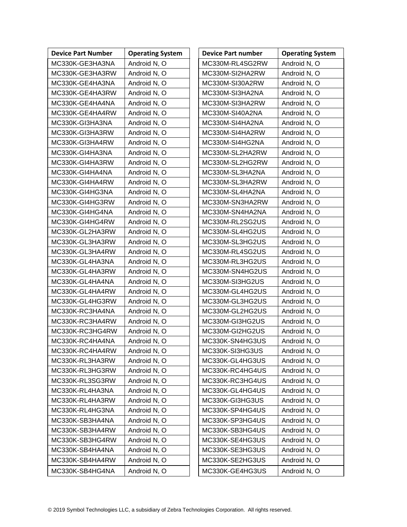| <b>Device Part Number</b> | <b>Operating System</b> | <b>Device Part number</b> | <b>Operating System</b> |
|---------------------------|-------------------------|---------------------------|-------------------------|
| MC330K-GE3HA3NA           | Android N, O            | MC330M-RL4SG2RW           | Android N, O            |
| MC330K-GE3HA3RW           | Android N, O            | MC330M-SI2HA2RW           | Android N, O            |
| MC330K-GE4HA3NA           | Android N, O            | MC330M-SI30A2RW           | Android N, O            |
| MC330K-GE4HA3RW           | Android N, O            | MC330M-SI3HA2NA           | Android N, O            |
| MC330K-GE4HA4NA           | Android N, O            | MC330M-SI3HA2RW           | Android N, O            |
| MC330K-GE4HA4RW           | Android N, O            | MC330M-SI40A2NA           | Android N, O            |
| MC330K-GI3HA3NA           | Android N, O            | MC330M-SI4HA2NA           | Android N, O            |
| MC330K-GI3HA3RW           | Android N, O            | MC330M-SI4HA2RW           | Android N, O            |
| MC330K-GI3HA4RW           | Android N, O            | MC330M-SI4HG2NA           | Android N, O            |
| MC330K-GI4HA3NA           | Android N, O            | MC330M-SL2HA2RW           | Android N, O            |
| MC330K-GI4HA3RW           | Android N, O            | MC330M-SL2HG2RW           | Android N, O            |
| MC330K-GI4HA4NA           | Android N, O            | MC330M-SL3HA2NA           | Android N, O            |
| MC330K-GI4HA4RW           | Android N, O            | MC330M-SL3HA2RW           | Android N, O            |
| MC330K-GI4HG3NA           | Android N, O            | MC330M-SL4HA2NA           | Android N, O            |
| MC330K-GI4HG3RW           | Android N, O            | MC330M-SN3HA2RW           | Android N, O            |
| MC330K-GI4HG4NA           | Android N, O            | MC330M-SN4HA2NA           | Android N, O            |
| MC330K-GI4HG4RW           | Android N, O            | MC330M-RL2SG2US           | Android N, O            |
| MC330K-GL2HA3RW           | Android N, O            | MC330M-SL4HG2US           | Android N, O            |
| MC330K-GL3HA3RW           | Android N, O            | MC330M-SL3HG2US           | Android N, O            |
| MC330K-GL3HA4RW           | Android N, O            | MC330M-RL4SG2US           | Android N, O            |
| MC330K-GL4HA3NA           | Android N, O            | MC330M-RL3HG2US           | Android N, O            |
| MC330K-GL4HA3RW           | Android N, O            | MC330M-SN4HG2US           | Android N, O            |
| MC330K-GL4HA4NA           | Android N, O            | MC330M-SI3HG2US           | Android N, O            |
| MC330K-GL4HA4RW           | Android N, O            | MC330M-GL4HG2US           | Android N, O            |
| MC330K-GL4HG3RW           | Android N, O            | MC330M-GL3HG2US           | Android N, O            |
| MC330K-RC3HA4NA           | Android N, O            | MC330M-GL2HG2US           | Android N, O            |
| MC330K-RC3HA4RW           | Android N, O            | MC330M-GI3HG2US           | Android N, O            |
| MC330K-RC3HG4RW           | Android N, O            | MC330M-GI2HG2US           | Android N, O            |
| MC330K-RC4HA4NA           | Android N, O            | MC330K-SN4HG3US           | Android N, O            |
| MC330K-RC4HA4RW           | Android N, O            | MC330K-SI3HG3US           | Android N, O            |
| MC330K-RL3HA3RW           | Android N, O            | MC330K-GL4HG3US           | Android N, O            |
| MC330K-RL3HG3RW           | Android N, O            | MC330K-RC4HG4US           | Android N, O            |
| MC330K-RL3SG3RW           | Android N, O            | MC330K-RC3HG4US           | Android N, O            |
| MC330K-RL4HA3NA           | Android N, O            | MC330K-GL4HG4US           | Android N, O            |
| MC330K-RL4HA3RW           | Android N, O            | MC330K-GI3HG3US           | Android N, O            |
| MC330K-RL4HG3NA           | Android N, O            | MC330K-SP4HG4US           | Android N, O            |
| MC330K-SB3HA4NA           | Android N, O            | MC330K-SP3HG4US           | Android N, O            |
| MC330K-SB3HA4RW           | Android N, O            | MC330K-SB3HG4US           | Android N, O            |
| MC330K-SB3HG4RW           | Android N, O            | MC330K-SE4HG3US           | Android N, O            |
| MC330K-SB4HA4NA           | Android N, O            | MC330K-SE3HG3US           | Android N, O            |
| MC330K-SB4HA4RW           | Android N, O            | MC330K-SE2HG3US           | Android N, O            |
| MC330K-SB4HG4NA           | Android N, O            | MC330K-GE4HG3US           | Android N, O            |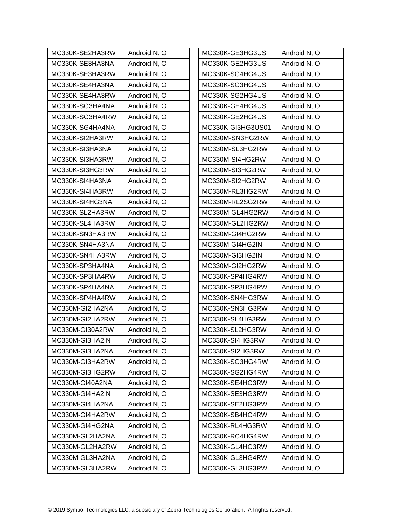| MC330K-SE2HA3RW | Android N, O | MC330K-GE3HG3US   | Android N, O |
|-----------------|--------------|-------------------|--------------|
| MC330K-SE3HA3NA | Android N, O | MC330K-GE2HG3US   | Android N, O |
| MC330K-SE3HA3RW | Android N, O | MC330K-SG4HG4US   | Android N, O |
| MC330K-SE4HA3NA | Android N, O | MC330K-SG3HG4US   | Android N, O |
| MC330K-SE4HA3RW | Android N, O | MC330K-SG2HG4US   | Android N, O |
| MC330K-SG3HA4NA | Android N, O | MC330K-GE4HG4US   | Android N, O |
| MC330K-SG3HA4RW | Android N, O | MC330K-GE2HG4US   | Android N, O |
| MC330K-SG4HA4NA | Android N, O | MC330K-GI3HG3US01 | Android N, O |
| MC330K-SI2HA3RW | Android N, O | MC330M-SN3HG2RW   | Android N, O |
| MC330K-SI3HA3NA | Android N, O | MC330M-SL3HG2RW   | Android N, O |
| MC330K-SI3HA3RW | Android N, O | MC330M-SI4HG2RW   | Android N, O |
| MC330K-SI3HG3RW | Android N, O | MC330M-SI3HG2RW   | Android N, O |
| MC330K-SI4HA3NA | Android N, O | MC330M-SI2HG2RW   | Android N, O |
| MC330K-SI4HA3RW | Android N, O | MC330M-RL3HG2RW   | Android N, O |
| MC330K-SI4HG3NA | Android N, O | MC330M-RL2SG2RW   | Android N, O |
| MC330K-SL2HA3RW | Android N, O | MC330M-GL4HG2RW   | Android N, O |
| MC330K-SL4HA3RW | Android N, O | MC330M-GL2HG2RW   | Android N, O |
| MC330K-SN3HA3RW | Android N, O | MC330M-GI4HG2RW   | Android N, O |
| MC330K-SN4HA3NA | Android N, O | MC330M-GI4HG2IN   | Android N, O |
| MC330K-SN4HA3RW | Android N, O | MC330M-GI3HG2IN   | Android N, O |
| MC330K-SP3HA4NA | Android N, O | MC330M-GI2HG2RW   | Android N, O |
| MC330K-SP3HA4RW | Android N, O | MC330K-SP4HG4RW   | Android N, O |
| MC330K-SP4HA4NA | Android N, O | MC330K-SP3HG4RW   | Android N, O |
| MC330K-SP4HA4RW | Android N, O | MC330K-SN4HG3RW   | Android N, O |
| MC330M-GI2HA2NA | Android N, O | MC330K-SN3HG3RW   | Android N, O |
| MC330M-GI2HA2RW | Android N, O | MC330K-SL4HG3RW   | Android N, O |
| MC330M-GI30A2RW | Android N, O | MC330K-SL2HG3RW   | Android N, O |
| MC330M-GI3HA2IN | Android N, O | MC330K-SI4HG3RW   | Android N, O |
| MC330M-GI3HA2NA | Android N, O | MC330K-SI2HG3RW   | Android N, O |
| MC330M-GI3HA2RW | Android N, O | MC330K-SG3HG4RW   | Android N, O |
| MC330M-GI3HG2RW | Android N, O | MC330K-SG2HG4RW   | Android N, O |
| MC330M-GI40A2NA | Android N, O | MC330K-SE4HG3RW   | Android N, O |
| MC330M-GI4HA2IN | Android N, O | MC330K-SE3HG3RW   | Android N, O |
| MC330M-GI4HA2NA | Android N, O | MC330K-SE2HG3RW   | Android N, O |
| MC330M-GI4HA2RW | Android N, O | MC330K-SB4HG4RW   | Android N, O |
| MC330M-GI4HG2NA | Android N, O | MC330K-RL4HG3RW   | Android N, O |
| MC330M-GL2HA2NA | Android N, O | MC330K-RC4HG4RW   | Android N, O |
| MC330M-GL2HA2RW | Android N, O | MC330K-GL4HG3RW   | Android N, O |
| MC330M-GL3HA2NA | Android N, O | MC330K-GL3HG4RW   | Android N, O |
| MC330M-GL3HA2RW | Android N, O | MC330K-GL3HG3RW   | Android N, O |
|                 |              |                   |              |